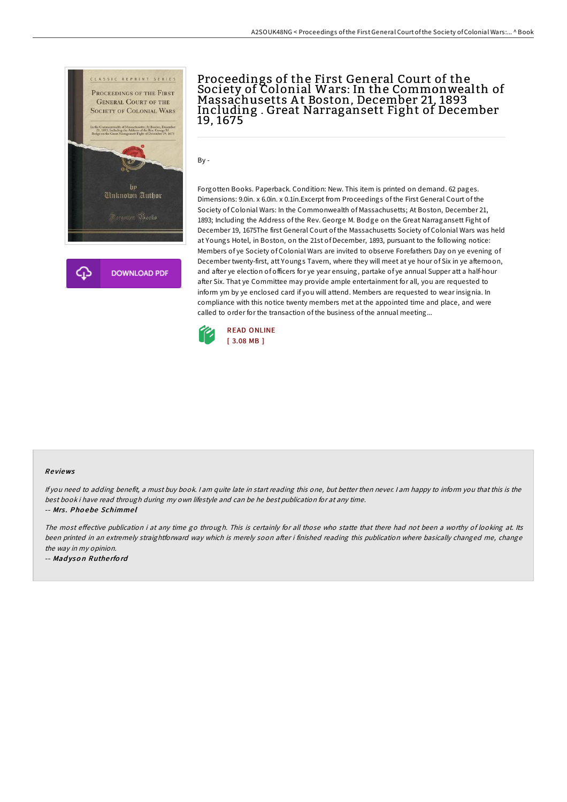



## Proceedings of the First General Court of the Society of Colonial Wars: In the Commonwealth of Massachusetts At Boston, December 21, 1893 Including . Great Narragansett Fight of December 19, 1675

By -

Forgotten Books. Paperback. Condition: New. This item is printed on demand. 62 pages. Dimensions: 9.0in. x 6.0in. x 0.1in.Excerpt from Proceedings of the First General Court of the Society of Colonial Wars: In the Commonwealth of Massachusetts; At Boston, December 21, 1893; Including the Address of the Rev. George M. Bodge on the Great Narragansett Fight of December 19, 1675The first General Court of the Massachusetts Society of Colonial Wars was held at Youngs Hotel, in Boston, on the 21st of December, 1893, pursuant to the following notice: Members of ye Society of Colonial Wars are invited to observe Forefathers Day on ye evening of December twenty-first, att Youngs Tavern, where they will meet at ye hour of Six in ye afternoon, and after ye election of officers for ye year ensuing, partake of ye annual Supper att a half-hour after Six. That ye Committee may provide ample entertainment for all, you are requested to inform ym by ye enclosed card if you will attend. Members are requested to wear insignia. In compliance with this notice twenty members met at the appointed time and place, and were called to order for the transaction of the business of the annual meeting...



## Re views

If you need to adding benefit, <sup>a</sup> must buy book. <sup>I</sup> am quite late in start reading this one, but better then never. <sup>I</sup> am happy to inform you that this is the best book i have read through during my own lifestyle and can be he best publication for at any time.

-- Mrs . Pho ebe Schimme l

The most effective publication i at any time go through. This is certainly for all those who statte that there had not been a worthy of looking at. Its been printed in an extremely straightforward way which is merely soon after i finished reading this publication where basically changed me, change the way in my opinion.

-- Mad yso <sup>n</sup> Ruthe rfo rd